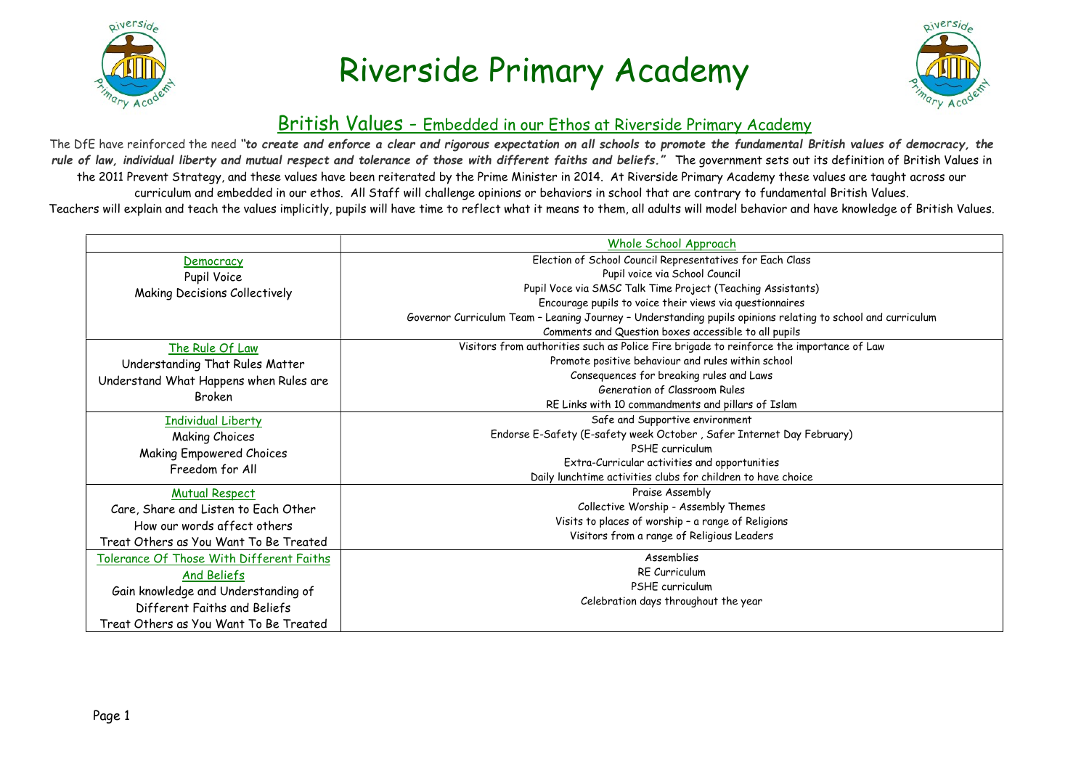



#### British Values - Embedded in our Ethos at Riverside Primary Academy

The DfE have reinforced the need "to create and enforce a clear and rigorous expectation on all schools to promote the fundamental British values of democracy, the rule of law, individual liberty and mutual respect and tolerance of those with different faiths and beliefs." The government sets out its definition of British Values in the 2011 Prevent Strategy, and these values have been reiterated by the Prime Minister in 2014. At Riverside Primary Academy these values are taught across our curriculum and embedded in our ethos. All Staff will challenge opinions or behaviors in school that are contrary to fundamental British Values. Teachers will explain and teach the values implicitly, pupils will have time to reflect what it means to them, all adults will model behavior and have knowledge of British Values.

|                                                    | Whole School Approach                                                                                        |  |  |
|----------------------------------------------------|--------------------------------------------------------------------------------------------------------------|--|--|
| Democracy                                          | Election of School Council Representatives for Each Class                                                    |  |  |
| Pupil Voice                                        | Pupil voice via School Council                                                                               |  |  |
| <b>Making Decisions Collectively</b>               | Pupil Voce via SMSC Talk Time Project (Teaching Assistants)                                                  |  |  |
|                                                    | Encourage pupils to voice their views via questionnaires                                                     |  |  |
|                                                    | Governor Curriculum Team - Leaning Journey - Understanding pupils opinions relating to school and curriculum |  |  |
|                                                    | Comments and Question boxes accessible to all pupils                                                         |  |  |
| The Rule Of Law                                    | Visitors from authorities such as Police Fire brigade to reinforce the importance of Law                     |  |  |
| Understanding That Rules Matter                    | Promote positive behaviour and rules within school                                                           |  |  |
| Understand What Happens when Rules are             | Consequences for breaking rules and Laws                                                                     |  |  |
| Broken                                             | Generation of Classroom Rules                                                                                |  |  |
|                                                    | RE Links with 10 commandments and pillars of Islam                                                           |  |  |
| <b>Individual Liberty</b>                          | Safe and Supportive environment                                                                              |  |  |
| Making Choices                                     | Endorse E-Safety (E-safety week October, Safer Internet Day February)                                        |  |  |
| <b>Making Empowered Choices</b><br>Freedom for All | PSHF curriculum                                                                                              |  |  |
|                                                    | Extra-Curricular activities and opportunities                                                                |  |  |
|                                                    | Daily lunchtime activities clubs for children to have choice                                                 |  |  |
| <b>Mutual Respect</b>                              | Praise Assembly                                                                                              |  |  |
| Care, Share and Listen to Each Other               | Collective Worship - Assembly Themes                                                                         |  |  |
| How our words affect others                        | Visits to places of worship - a range of Religions                                                           |  |  |
| Treat Others as You Want To Be Treated             | Visitors from a range of Religious Leaders                                                                   |  |  |
| Tolerance Of Those With Different Faiths           | Assemblies                                                                                                   |  |  |
| And Beliefs                                        | <b>RE</b> Curriculum                                                                                         |  |  |
| Gain knowledge and Understanding of                | PSHF curriculum                                                                                              |  |  |
| Different Faiths and Beliefs                       | Celebration days throughout the year                                                                         |  |  |
| Treat Others as You Want To Be Treated             |                                                                                                              |  |  |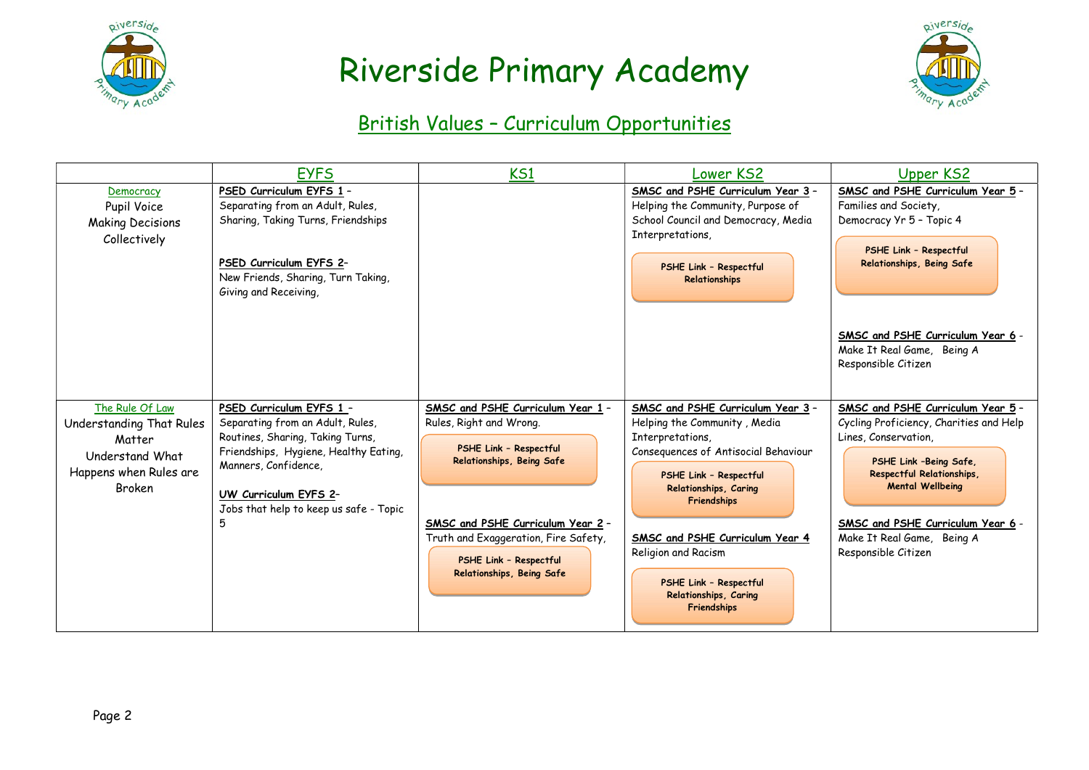



### British Values – Curriculum Opportunities

|                                                                          | <b>EYFS</b>                                                                                                                               | KS <sub>1</sub>                                                                                     | Lower KS2                                                                                                                         | <b>Upper KS2</b>                                                                                                                              |
|--------------------------------------------------------------------------|-------------------------------------------------------------------------------------------------------------------------------------------|-----------------------------------------------------------------------------------------------------|-----------------------------------------------------------------------------------------------------------------------------------|-----------------------------------------------------------------------------------------------------------------------------------------------|
| Democracy<br>Pupil Voice<br><b>Making Decisions</b><br>Collectively      | PSED Curriculum EYFS 1 -<br>Separating from an Adult, Rules,<br>Sharing, Taking Turns, Friendships<br>PSED Curriculum EYFS 2-             |                                                                                                     | SMSC and PSHE Curriculum Year 3 -<br>Helping the Community, Purpose of<br>School Council and Democracy, Media<br>Interpretations, | SMSC and PSHE Curriculum Year 5 -<br>Families and Society,<br>Democracy Yr 5 - Topic 4<br>PSHE Link - Respectful<br>Relationships, Being Safe |
|                                                                          | New Friends, Sharing, Turn Taking,<br>Giving and Receiving,                                                                               |                                                                                                     | <b>PSHE Link - Respectful</b><br>Relationships                                                                                    | SMSC and PSHE Curriculum Year 6 -                                                                                                             |
|                                                                          |                                                                                                                                           |                                                                                                     |                                                                                                                                   | Make It Real Game, Being A<br>Responsible Citizen                                                                                             |
| The Rule Of Law<br>Understanding That Rules<br>Matter<br>Understand What | PSED Curriculum EYFS 1 -<br>Separating from an Adult, Rules,<br>Routines, Sharing, Taking Turns,<br>Friendships, Hygiene, Healthy Eating, | SMSC and PSHE Curriculum Year 1 -<br>Rules, Right and Wrong.<br>PSHE Link - Respectful              | SMSC and PSHE Curriculum Year 3 -<br>Helping the Community, Media<br>Interpretations,<br>Consequences of Antisocial Behaviour     | SMSC and PSHE Curriculum Year 5 -<br>Cycling Proficiency, Charities and Help<br>Lines, Conservation,                                          |
| Happens when Rules are<br>Broken                                         | Manners, Confidence,<br>UW Curriculum EYFS 2-<br>Jobs that help to keep us safe - Topic<br>5                                              | Relationships, Being Safe                                                                           | PSHE Link - Respectful<br>Relationships, Caring<br>Friendships                                                                    | PSHE Link -Being Safe,<br>Respectful Relationships,<br><b>Mental Wellbeing</b>                                                                |
|                                                                          |                                                                                                                                           | SMSC and PSHE Curriculum Year 2 -<br>Truth and Exaggeration, Fire Safety,<br>PSHE Link - Respectful | SMSC and PSHE Curriculum Year 4<br>Religion and Racism                                                                            | SMSC and PSHE Curriculum Year 6 -<br>Make It Real Game, Being A<br>Responsible Citizen                                                        |
|                                                                          |                                                                                                                                           | Relationships, Being Safe                                                                           | PSHE Link - Respectful<br>Relationships, Caring<br>Friendships                                                                    |                                                                                                                                               |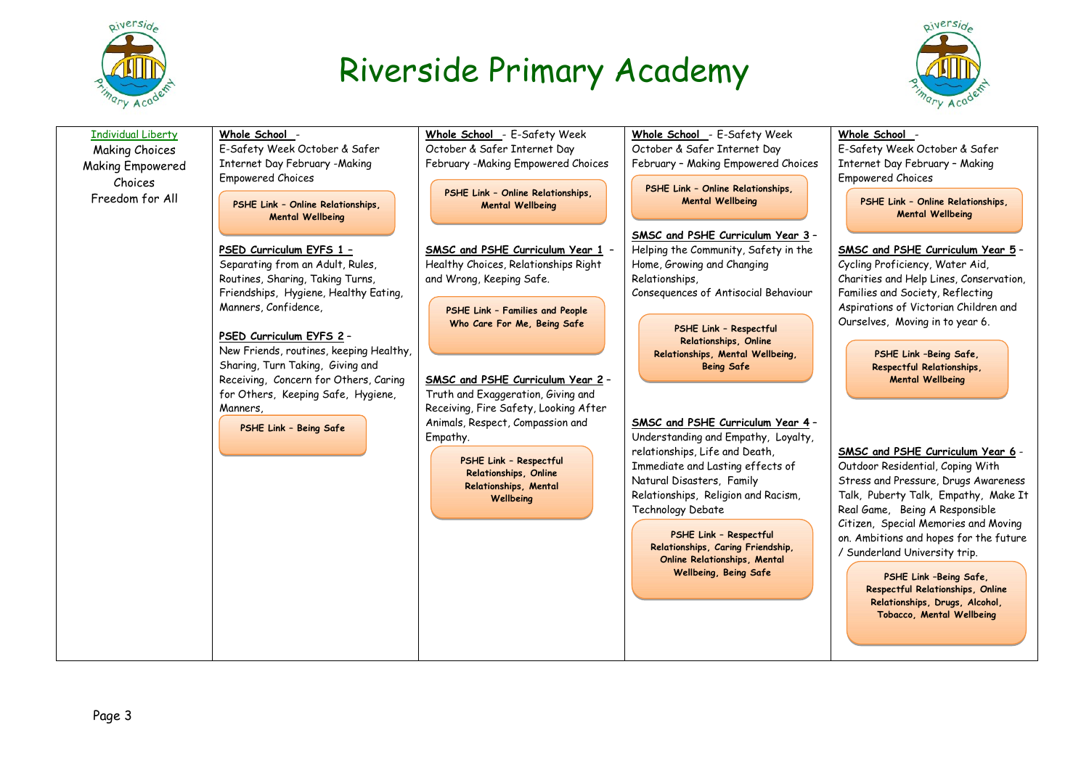



| <b>Individual Liberty</b>  | Whole School -                                                                                                                                                                                                                                                                                                                                                                                                               | Whole School - E-Safety Week                                                                                                                                                                                                                                                                                                                                                                                                                       | Whole School - E-Safety Week                                                                                                                                                                                                                                                                                                                                                                                                                                                                        | Whole School -                                                                                                                                                                                                                                                                                                                                                                                                                                                                                       |
|----------------------------|------------------------------------------------------------------------------------------------------------------------------------------------------------------------------------------------------------------------------------------------------------------------------------------------------------------------------------------------------------------------------------------------------------------------------|----------------------------------------------------------------------------------------------------------------------------------------------------------------------------------------------------------------------------------------------------------------------------------------------------------------------------------------------------------------------------------------------------------------------------------------------------|-----------------------------------------------------------------------------------------------------------------------------------------------------------------------------------------------------------------------------------------------------------------------------------------------------------------------------------------------------------------------------------------------------------------------------------------------------------------------------------------------------|------------------------------------------------------------------------------------------------------------------------------------------------------------------------------------------------------------------------------------------------------------------------------------------------------------------------------------------------------------------------------------------------------------------------------------------------------------------------------------------------------|
| Making Choices             | E-Safety Week October & Safer                                                                                                                                                                                                                                                                                                                                                                                                | October & Safer Internet Day                                                                                                                                                                                                                                                                                                                                                                                                                       | October & Safer Internet Day                                                                                                                                                                                                                                                                                                                                                                                                                                                                        | E-Safety Week October & Safer                                                                                                                                                                                                                                                                                                                                                                                                                                                                        |
| <b>Making Empowered</b>    | Internet Day February -Making                                                                                                                                                                                                                                                                                                                                                                                                | February -Making Empowered Choices                                                                                                                                                                                                                                                                                                                                                                                                                 | February - Making Empowered Choices                                                                                                                                                                                                                                                                                                                                                                                                                                                                 | Internet Day February - Making                                                                                                                                                                                                                                                                                                                                                                                                                                                                       |
| Choices<br>Freedom for All | <b>Empowered Choices</b><br>PSHE Link - Online Relationships,                                                                                                                                                                                                                                                                                                                                                                | PSHE Link - Online Relationships,<br><b>Mental Wellbeing</b>                                                                                                                                                                                                                                                                                                                                                                                       | PSHE Link - Online Relationships.<br><b>Mental Wellbeing</b>                                                                                                                                                                                                                                                                                                                                                                                                                                        | <b>Empowered Choices</b><br>PSHE Link - Online Relationships,                                                                                                                                                                                                                                                                                                                                                                                                                                        |
|                            | <b>Mental Wellbeing</b><br>PSED Curriculum EYFS 1 -<br>Separating from an Adult, Rules,<br>Routines, Sharing, Taking Turns,<br>Friendships, Hygiene, Healthy Eating,<br>Manners, Confidence,<br>PSED Curriculum EYFS 2 -<br>New Friends, routines, keeping Healthy,<br>Sharing, Turn Taking, Giving and<br>Receiving, Concern for Others, Caring<br>for Others, Keeping Safe, Hygiene,<br>Manners,<br>PSHE Link - Being Safe | SMSC and PSHE Curriculum Year 1 -<br>Healthy Choices, Relationships Right<br>and Wrong, Keeping Safe.<br><b>PSHE Link - Families and People</b><br>Who Care For Me, Being Safe<br>SMSC and PSHE Curriculum Year 2 -<br>Truth and Exaggeration, Giving and<br>Receiving, Fire Safety, Looking After<br>Animals, Respect, Compassion and<br>Empathy.<br>PSHE Link - Respectful<br>Relationships, Online<br><b>Relationships, Mental</b><br>Wellbeing | SMSC and PSHE Curriculum Year 3 -<br>Helping the Community, Safety in the<br>Home, Growing and Changing<br>Relationships,<br>Consequences of Antisocial Behaviour<br>PSHE Link - Respectful<br>Relationships, Online<br>Relationships, Mental Wellbeing,<br><b>Being Safe</b><br>SMSC and PSHE Curriculum Year 4 -<br>Understanding and Empathy, Loyalty,<br>relationships, Life and Death,<br>Immediate and Lasting effects of<br>Natural Disasters, Family<br>Relationships, Religion and Racism, | <b>Mental Wellbeing</b><br>SMSC and PSHE Curriculum Year 5-<br>Cycling Proficiency, Water Aid,<br>Charities and Help Lines, Conservation,<br>Families and Society, Reflecting<br>Aspirations of Victorian Children and<br>Ourselves, Moving in to year 6.<br>PSHE Link -Being Safe,<br>Respectful Relationships,<br><b>Mental Wellbeing</b><br>SMSC and PSHE Curriculum Year 6 -<br>Outdoor Residential, Coping With<br>Stress and Pressure, Drugs Awareness<br>Talk, Puberty Talk, Empathy, Make It |
|                            |                                                                                                                                                                                                                                                                                                                                                                                                                              |                                                                                                                                                                                                                                                                                                                                                                                                                                                    | Technology Debate<br>PSHE Link - Respectful<br>Relationships, Caring Friendship,<br><b>Online Relationships, Mental</b><br><b>Wellbeing, Being Safe</b>                                                                                                                                                                                                                                                                                                                                             | Real Game, Being A Responsible<br>Citizen, Special Memories and Moving<br>on. Ambitions and hopes for the future<br>/ Sunderland University trip.<br>PSHE Link -Being Safe,<br>Respectful Relationships, Online<br>Relationships, Drugs, Alcohol,<br>Tobacco, Mental Wellbeing                                                                                                                                                                                                                       |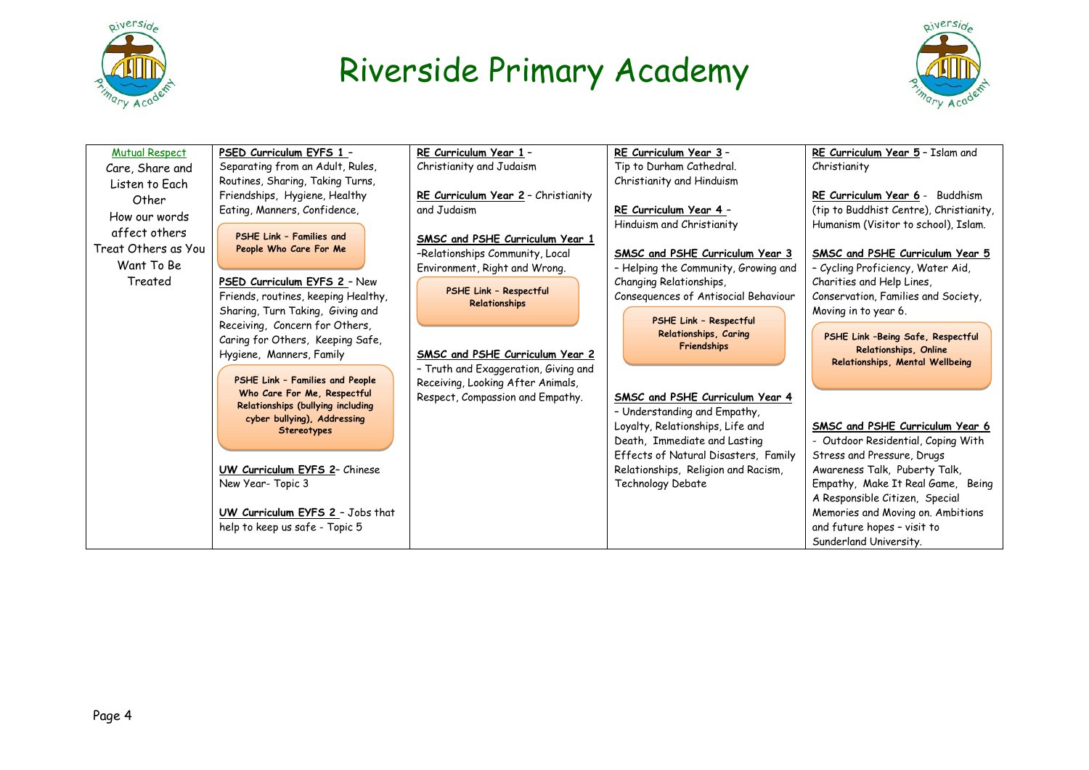



| <b>Mutual Respect</b>                                                                                                        | PSED Curriculum EYFS 1 -                                                                                                                                                                                                                                                                                                                                                                                                                                                                                                                                                    | RE Curriculum Year 1 -                                                                                                                                                                                                                                                                                                                                                               | RE Curriculum Year 3 -                                                                                                                                                                                                                                                                                                                                                                                                                                              | RE Curriculum Year 5 - Islam and                                                                                                                                                                                                                                                                                                                                                                                                                                                               |
|------------------------------------------------------------------------------------------------------------------------------|-----------------------------------------------------------------------------------------------------------------------------------------------------------------------------------------------------------------------------------------------------------------------------------------------------------------------------------------------------------------------------------------------------------------------------------------------------------------------------------------------------------------------------------------------------------------------------|--------------------------------------------------------------------------------------------------------------------------------------------------------------------------------------------------------------------------------------------------------------------------------------------------------------------------------------------------------------------------------------|---------------------------------------------------------------------------------------------------------------------------------------------------------------------------------------------------------------------------------------------------------------------------------------------------------------------------------------------------------------------------------------------------------------------------------------------------------------------|------------------------------------------------------------------------------------------------------------------------------------------------------------------------------------------------------------------------------------------------------------------------------------------------------------------------------------------------------------------------------------------------------------------------------------------------------------------------------------------------|
|                                                                                                                              |                                                                                                                                                                                                                                                                                                                                                                                                                                                                                                                                                                             |                                                                                                                                                                                                                                                                                                                                                                                      |                                                                                                                                                                                                                                                                                                                                                                                                                                                                     |                                                                                                                                                                                                                                                                                                                                                                                                                                                                                                |
| Care, Share and<br>Listen to Each<br>Other<br>How our words<br>affect others<br>Treat Others as You<br>Want To Be<br>Treated | Separating from an Adult, Rules,<br>Routines, Sharing, Taking Turns,<br>Friendships, Hygiene, Healthy<br>Eating, Manners, Confidence,<br><b>PSHE Link - Families and</b><br>People Who Care For Me<br>PSED Curriculum EYFS 2 - New<br>Friends, routines, keeping Healthy,<br>Sharing, Turn Taking, Giving and<br>Receiving, Concern for Others,<br>Caring for Others, Keeping Safe,<br>Hygiene, Manners, Family<br>PSHE Link - Families and People<br>Who Care For Me, Respectful<br>Relationships (bullying including<br>cyber bullying), Addressing<br><b>Stereotypes</b> | Christianity and Judaism<br>RE Curriculum Year 2 - Christianity<br>and Judaism<br>SMSC and PSHE Curriculum Year 1<br>-Relationships Community, Local<br>Environment, Right and Wrong.<br>PSHE Link - Respectful<br>Relationships<br>SMSC and PSHE Curriculum Year 2<br>- Truth and Exaggeration, Giving and<br>Receiving, Looking After Animals,<br>Respect, Compassion and Empathy. | Tip to Durham Cathedral.<br>Christianity and Hinduism<br>RE Curriculum Year 4 -<br>Hinduism and Christianity<br>SMSC and PSHE Curriculum Year 3<br>- Helping the Community, Growing and<br>Changing Relationships,<br>Consequences of Antisocial Behaviour<br>PSHE Link - Respectful<br>Relationships, Caring<br>Friendships<br>SMSC and PSHE Curriculum Year 4<br>- Understanding and Empathy,<br>Loyalty, Relationships, Life and<br>Death, Immediate and Lasting | Christianity<br>RE Curriculum Year 6 - Buddhism<br>(tip to Buddhist Centre), Christianity,<br>Humanism (Visitor to school), Islam.<br>SMSC and PSHE Curriculum Year 5<br>- Cycling Proficiency, Water Aid,<br>Charities and Help Lines,<br>Conservation, Families and Society,<br>Moving in to year 6.<br>PSHE Link -Being Safe, Respectful<br><b>Relationships, Online</b><br><b>Relationships, Mental Wellbeing</b><br>SMSC and PSHE Curriculum Year 6<br>- Outdoor Residential, Coping With |
|                                                                                                                              | <b>UW Curriculum EYFS 2- Chinese</b>                                                                                                                                                                                                                                                                                                                                                                                                                                                                                                                                        |                                                                                                                                                                                                                                                                                                                                                                                      | Effects of Natural Disasters, Family<br>Relationships, Religion and Racism,                                                                                                                                                                                                                                                                                                                                                                                         | Stress and Pressure, Drugs<br>Awareness Talk, Puberty Talk,                                                                                                                                                                                                                                                                                                                                                                                                                                    |
|                                                                                                                              | New Year-Topic 3<br>UW Curriculum EYFS 2 - Jobs that                                                                                                                                                                                                                                                                                                                                                                                                                                                                                                                        |                                                                                                                                                                                                                                                                                                                                                                                      | Technology Debate                                                                                                                                                                                                                                                                                                                                                                                                                                                   | Empathy, Make It Real Game, Being<br>A Responsible Citizen, Special<br>Memories and Moving on. Ambitions                                                                                                                                                                                                                                                                                                                                                                                       |
|                                                                                                                              | help to keep us safe - Topic 5                                                                                                                                                                                                                                                                                                                                                                                                                                                                                                                                              |                                                                                                                                                                                                                                                                                                                                                                                      |                                                                                                                                                                                                                                                                                                                                                                                                                                                                     | and future hopes - visit to<br>Sunderland University.                                                                                                                                                                                                                                                                                                                                                                                                                                          |